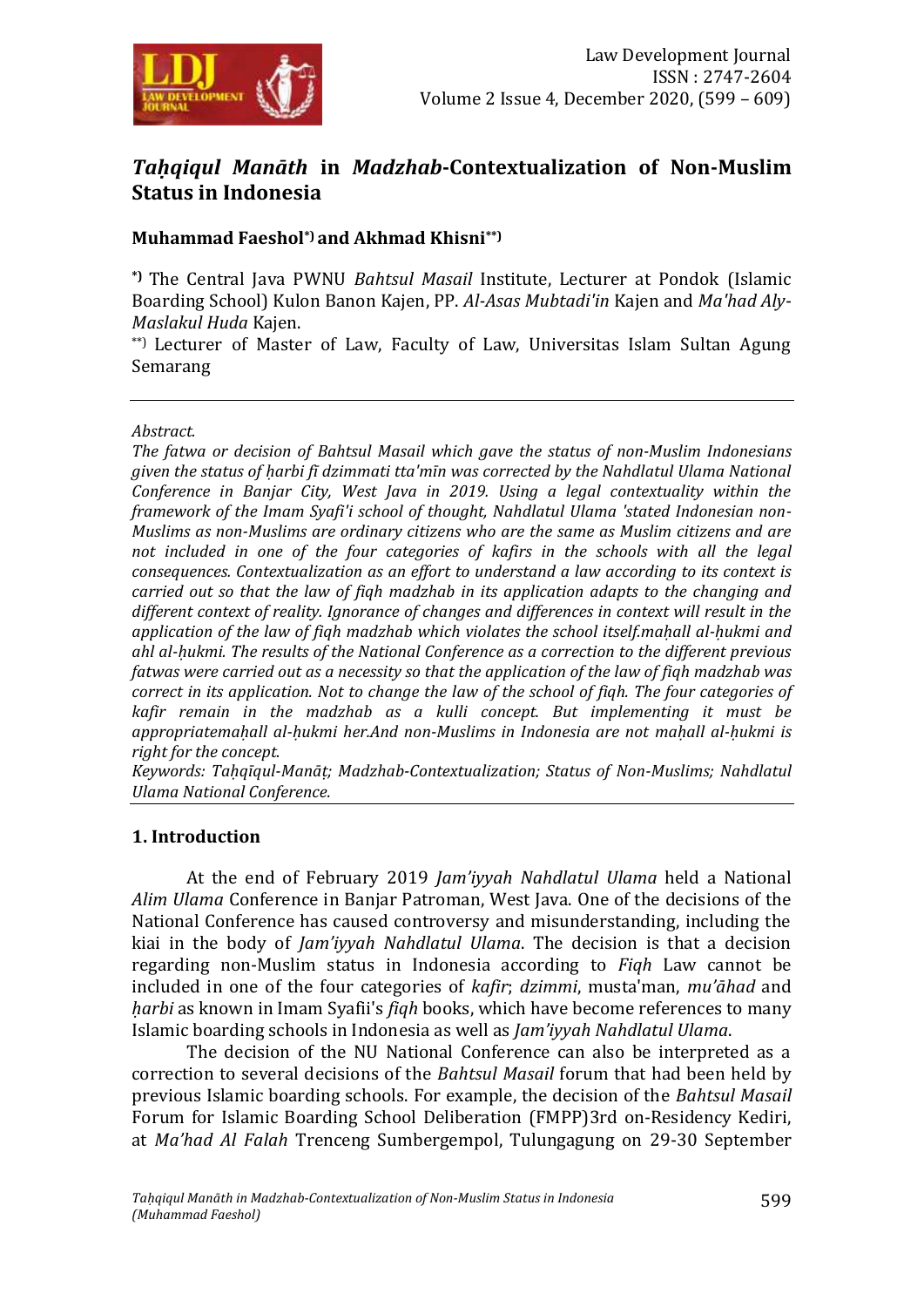

# *Taḥqiqul Manāth* **in** *Madzhab***-Contextualization of Non-Muslim Status in Indonesia**

### **Muhammad Faeshol\*) and Akhmad Khisni\*\*)**

**\*)** The Central Java PWNU *Bahtsul Masail* Institute, Lecturer at Pondok (Islamic Boarding School) Kulon Banon Kajen, PP. *Al-Asas Mubtadi'in* Kajen and *Ma'had Aly*-*Maslakul Huda* Kajen.

\*\*) Lecturer of Master of Law, Faculty of Law, Universitas Islam Sultan Agung Semarang

#### *Abstract.*

*The fatwa or decision of Bahtsul Masail which gave the status of non-Muslim Indonesians given the status of ḥarbi fī dzimmati tta'mīn was corrected by the Nahdlatul Ulama National Conference in Banjar City, West Java in 2019. Using a legal contextuality within the framework of the Imam Syafi'i school of thought, Nahdlatul Ulama 'stated Indonesian non-Muslims as non-Muslims are ordinary citizens who are the same as Muslim citizens and are not included in one of the four categories of kafirs in the schools with all the legal consequences. Contextualization as an effort to understand a law according to its context is carried out so that the law of fiqh madzhab in its application adapts to the changing and different context of reality. Ignorance of changes and differences in context will result in the application of the law of fiqh madzhab which violates the school itself.maḥall al-ḥukmi and ahl al-ḥukmi. The results of the National Conference as a correction to the different previous fatwas were carried out as a necessity so that the application of the law of fiqh madzhab was correct in its application. Not to change the law of the school of fiqh. The four categories of kafir remain in the madzhab as a kulli concept. But implementing it must be appropriatemaḥall al-ḥukmi her.And non-Muslims in Indonesia are not maḥall al-ḥukmi is right for the concept.*

*Keywords: Taḥqīqul-Manāṭ; Madzhab-Contextualization; Status of Non-Muslims; Nahdlatul Ulama National Conference.*

#### **1. Introduction**

At the end of February 2019 *Jam'iyyah Nahdlatul Ulama* held a National *Alim Ulama* Conference in Banjar Patroman, West Java. One of the decisions of the National Conference has caused controversy and misunderstanding, including the kiai in the body of *Jam'iyyah Nahdlatul Ulama*. The decision is that a decision regarding non-Muslim status in Indonesia according to *Fiqh* Law cannot be included in one of the four categories of *kafir*; *dzimmi*, musta'man, *mu'āhad* and *ḥarbi* as known in Imam Syafii's *fiqh* books, which have become references to many Islamic boarding schools in Indonesia as well as *Jam'iyyah Nahdlatul Ulama*.

The decision of the NU National Conference can also be interpreted as a correction to several decisions of the *Bahtsul Masail* forum that had been held by previous Islamic boarding schools. For example, the decision of the *Bahtsul Masail* Forum for Islamic Boarding School Deliberation (FMPP)3rd on-Residency Kediri, at *Ma'had Al Falah* Trenceng Sumbergempol, Tulungagung on 29-30 September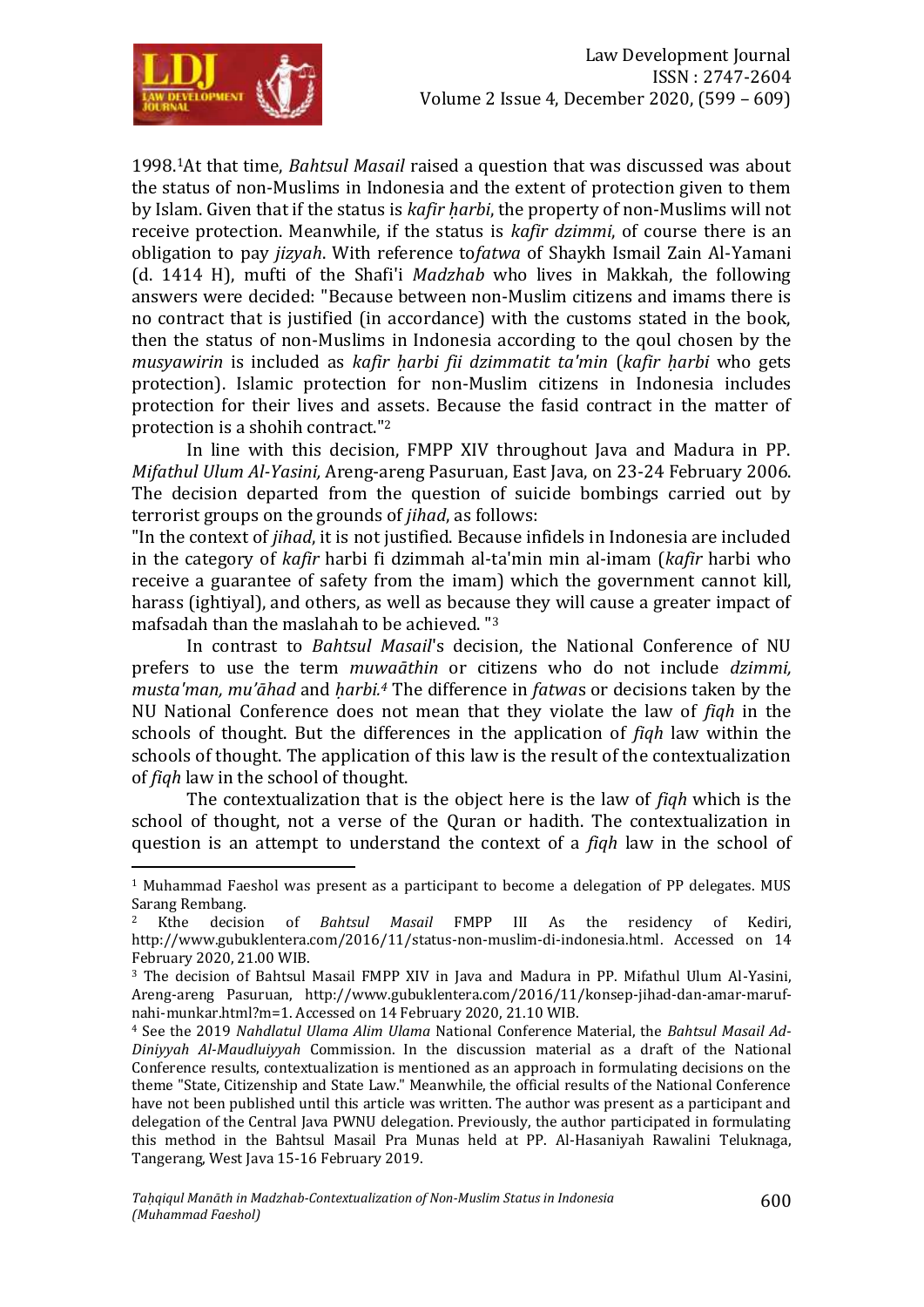

1998.1At that time, *Bahtsul Masail* raised a question that was discussed was about the status of non-Muslims in Indonesia and the extent of protection given to them by Islam. Given that if the status is *kafir harbi*, the property of non-Muslims will not receive protection. Meanwhile, if the status is *kafir dzimmi*, of course there is an obligation to pay *jizyah*. With reference to*fatwa* of Shaykh Ismail Zain Al-Yamani (d. 1414 H), mufti of the Shafi'i *Madzhab* who lives in Makkah, the following answers were decided: "Because between non-Muslim citizens and imams there is no contract that is justified (in accordance) with the customs stated in the book, then the status of non-Muslims in Indonesia according to the qoul chosen by the *musyawirin* is included as *kafir ḥarbi fii dzimmatit ta'min* (*kafir ḥarbi* who gets protection). Islamic protection for non-Muslim citizens in Indonesia includes protection for their lives and assets. Because the fasid contract in the matter of protection is a shohih contract." 2

In line with this decision, FMPP XIV throughout Java and Madura in PP. *Mifathul Ulum Al-Yasini,* Areng-areng Pasuruan, East Java, on 23-24 February 2006. The decision departed from the question of suicide bombings carried out by terrorist groups on the grounds of *jihad*, as follows:

"In the context of *jihad*, it is not justified. Because infidels in Indonesia are included in the category of *kafir* harbi fi dzimmah al-ta'min min al-imam (*kafir* harbi who receive a guarantee of safety from the imam) which the government cannot kill, harass (ightiyal), and others, as well as because they will cause a greater impact of mafsadah than the maslahah to be achieved. "<sup>3</sup>

In contrast to *Bahtsul Masail*'s decision, the National Conference of NU prefers to use the term *muwaāthin* or citizens who do not include *dzimmi, musta'man, mu'āhad* and *ḥarbi. <sup>4</sup>* The difference in *fatwa*s or decisions taken by the NU National Conference does not mean that they violate the law of *fiqh* in the schools of thought. But the differences in the application of *fiqh* law within the schools of thought. The application of this law is the result of the contextualization of *fiqh* law in the school of thought.

The contextualization that is the object here is the law of *fiqh* which is the school of thought, not a verse of the Quran or hadith. The contextualization in question is an attempt to understand the context of a *fiqh* law in the school of

 $\overline{a}$ <sup>1</sup> Muhammad Faeshol was present as a participant to become a delegation of PP delegates. MUS Sarang Rembang.<br><sup>2</sup> Kthe decisi

<sup>2</sup> Kthe decision of *Bahtsul Masail* FMPP III As the residency of Kediri, [http://www.gubuklentera.com/2016/11/status-non-muslim-di-indonesia.html.](http://www.gubuklentera.com/2016/11/status-non-muslim-di-indonesia.html) Accessed on 14 February 2020, 21.00 WIB.

<sup>3</sup> The decision of Bahtsul Masail FMPP XIV in Java and Madura in PP. Mifathul Ulum Al-Yasini, Areng-areng Pasuruan, http://www.gubuklentera.com/2016/11/konsep-jihad-dan-amar-marufnahi-munkar.html?m=1. Accessed on 14 February 2020, 21.10 WIB.

<sup>4</sup> See the 2019 *Nahdlatul Ulama Alim Ulama* National Conference Material, the *Bahtsul Masail Ad-Diniyyah Al-Maudluiyyah* Commission. In the discussion material as a draft of the National Conference results, contextualization is mentioned as an approach in formulating decisions on the theme "State, Citizenship and State Law." Meanwhile, the official results of the National Conference have not been published until this article was written. The author was present as a participant and delegation of the Central Java PWNU delegation. Previously, the author participated in formulating this method in the Bahtsul Masail Pra Munas held at PP. Al-Hasaniyah Rawalini Teluknaga, Tangerang, West Java 15-16 February 2019.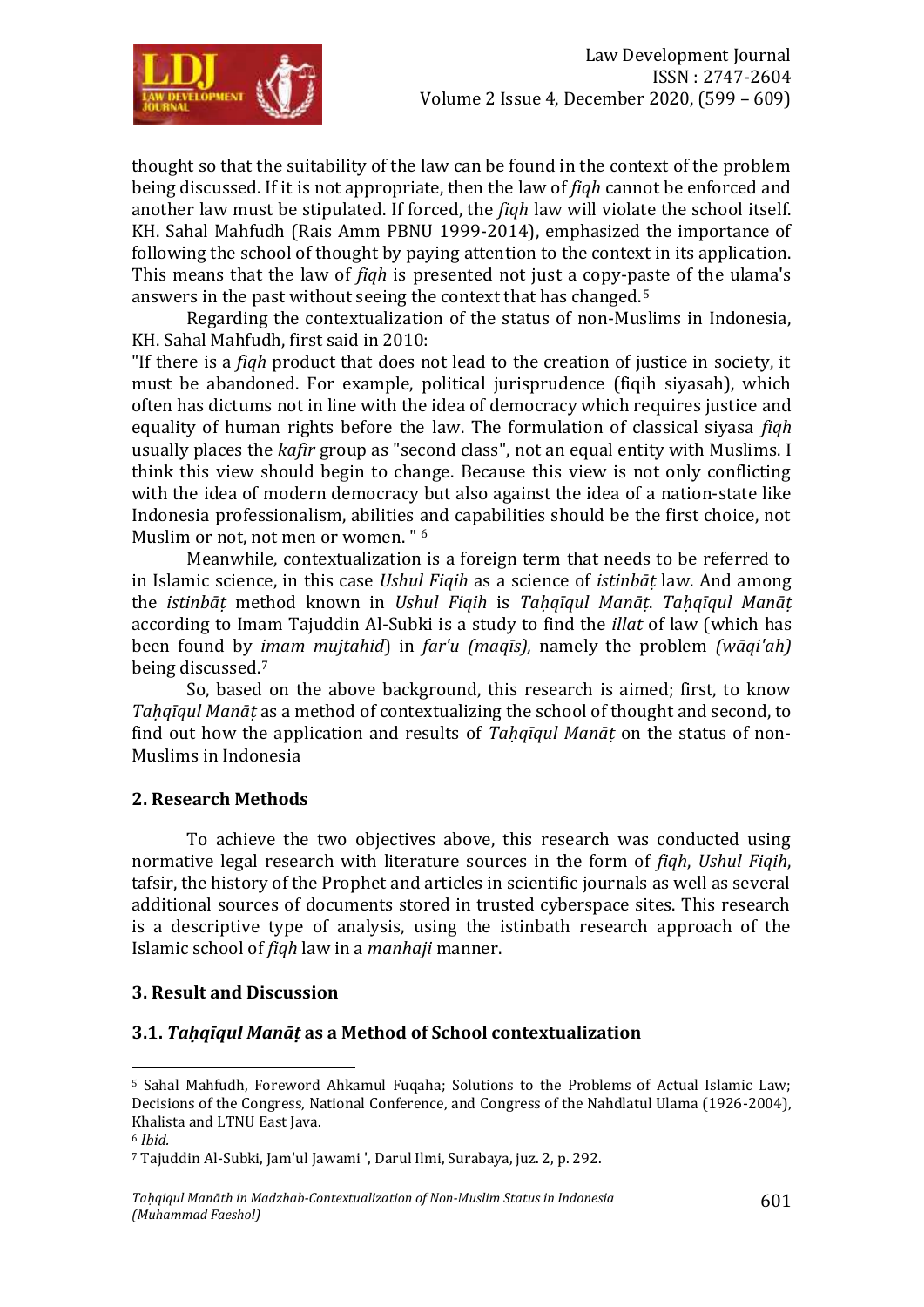

thought so that the suitability of the law can be found in the context of the problem being discussed. If it is not appropriate, then the law of *fiqh* cannot be enforced and another law must be stipulated. If forced, the *fiqh* law will violate the school itself. KH. Sahal Mahfudh (Rais Amm PBNU 1999-2014), emphasized the importance of following the school of thought by paying attention to the context in its application. This means that the law of *fiqh* is presented not just a copy-paste of the ulama's answers in the past without seeing the context that has changed.<sup>5</sup>

Regarding the contextualization of the status of non-Muslims in Indonesia, KH. Sahal Mahfudh, first said in 2010:

"If there is a *fiqh* product that does not lead to the creation of justice in society, it must be abandoned. For example, political jurisprudence (fiqih siyasah), which often has dictums not in line with the idea of democracy which requires justice and equality of human rights before the law. The formulation of classical siyasa *fiqh* usually places the *kafir* group as "second class", not an equal entity with Muslims. I think this view should begin to change. Because this view is not only conflicting with the idea of modern democracy but also against the idea of a nation-state like Indonesia professionalism, abilities and capabilities should be the first choice, not Muslim or not, not men or women. " <sup>6</sup>

Meanwhile, contextualization is a foreign term that needs to be referred to in Islamic science, in this case *Ushul Fiqih* as a science of *istinbāṭ* law. And among the *istinbāṭ* method known in *Ushul Fiqih* is *Taḥqīqul Manāṭ*. *Taḥqīqul Manāṭ* according to Imam Tajuddin Al-Subki is a study to find the *illat* of law (which has been found by *imam mujtahid*) in *far'u (maqīs),* namely the problem *(wāqi'ah)* being discussed.<sup>7</sup>

So, based on the above background, this research is aimed; first, to know *Taḥqīqul Manāṭ* as a method of contextualizing the school of thought and second, to find out how the application and results of *Taḥqīqul Manāṭ* on the status of non-Muslims in Indonesia

#### **2. Research Methods**

To achieve the two objectives above, this research was conducted using normative legal research with literature sources in the form of *fiqh*, *Ushul Fiqih*, tafsir, the history of the Prophet and articles in scientific journals as well as several additional sources of documents stored in trusted cyberspace sites. This research is a descriptive type of analysis, using the istinbath research approach of the Islamic school of *fiqh* law in a *manhaji* manner.

# **3. Result and Discussion**

# **3.1.** *Taḥqīqul Manāṭ* **as a Method of School contextualization**

 $\overline{a}$ <sup>5</sup> Sahal Mahfudh, Foreword Ahkamul Fuqaha; Solutions to the Problems of Actual Islamic Law; Decisions of the Congress, National Conference, and Congress of the Nahdlatul Ulama (1926-2004), Khalista and LTNU East Java.

<sup>6</sup> *Ibid.*

<sup>7</sup> Tajuddin Al-Subki, Jam'ul Jawami ', Darul Ilmi, Surabaya, juz. 2, p. 292.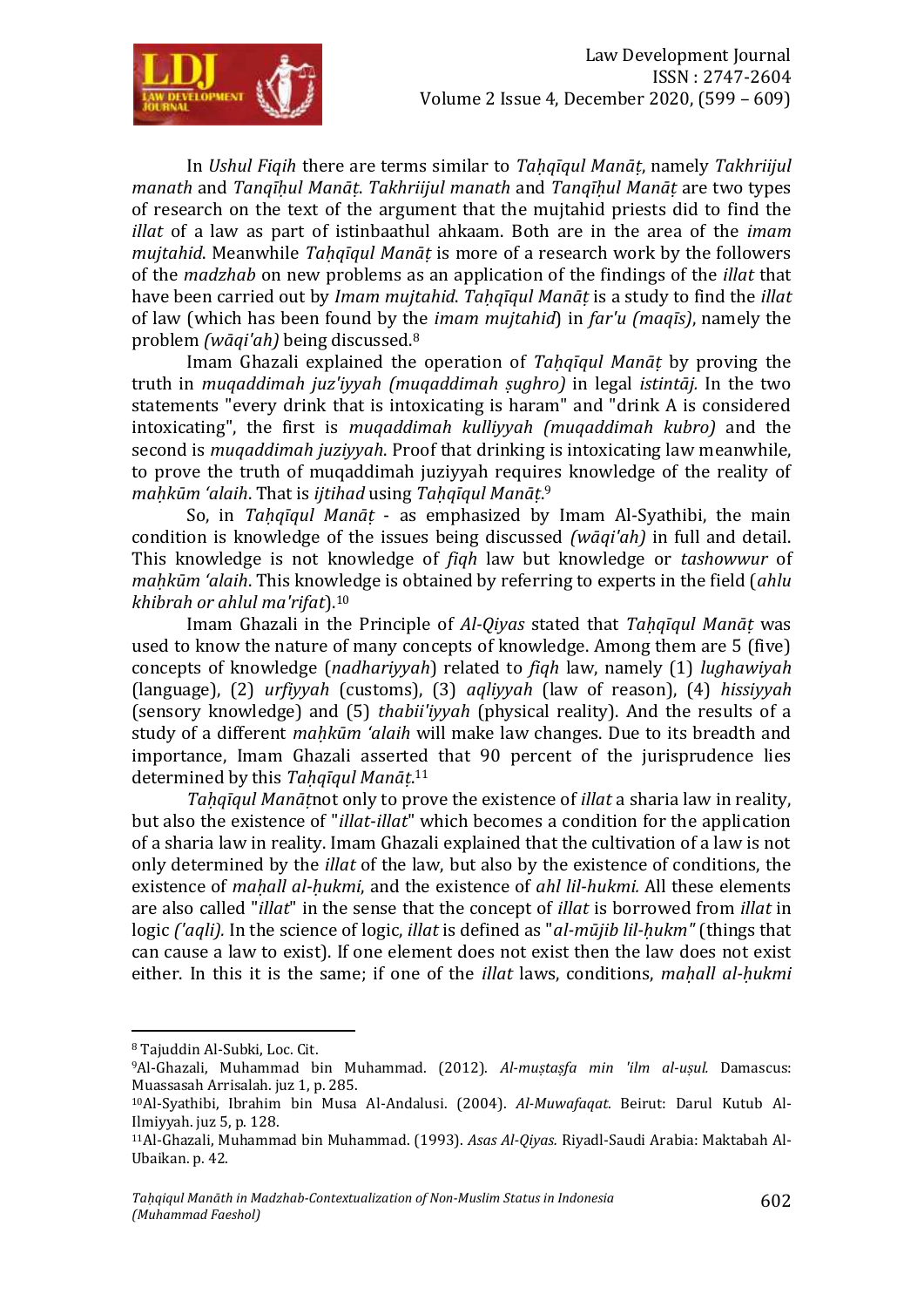

In *Ushul Fiqih* there are terms similar to *Tahqīqul Manāt*, namely *Takhriijul manath* and *Tanqīḥul Manāṭ*. *Takhriijul manath* and *Tanqīḥul Manāṭ* are two types of research on the text of the argument that the mujtahid priests did to find the *illat* of a law as part of istinbaathul ahkaam. Both are in the area of the *imam mujtahid*. Meanwhile *Tahqīqul Manāt* is more of a research work by the followers of the *madzhab* on new problems as an application of the findings of the *illat* that have been carried out by *Imam mujtahid*. *Taḥqīqul Manāṭ* is a study to find the *illat* of law (which has been found by the *imam mujtahid*) in *far'u (maqīs)*, namely the problem *(wāqi'ah)* being discussed.<sup>8</sup>

Imam Ghazali explained the operation of *Taḥqīqul Manāṭ* by proving the truth in *muqaddimah juz'iyyah (muqaddimah ṣughro)* in legal *istintāj.* In the two statements "every drink that is intoxicating is haram" and "drink A is considered intoxicating", the first is *muqaddimah kulliyyah (muqaddimah kubro)* and the second is *muqaddimah juziyyah*. Proof that drinking is intoxicating law meanwhile, to prove the truth of muqaddimah juziyyah requires knowledge of the reality of *maḥkūm 'alaih*. That is *ijtihad* using *Taḥqīqul Manāṭ*. 9

So, in *Taḥqīqul Manāṭ* - as emphasized by Imam Al-Syathibi, the main condition is knowledge of the issues being discussed *(wāqi'ah)* in full and detail. This knowledge is not knowledge of *fiqh* law but knowledge or *tashowwur* of *maḥkūm 'alaih*. This knowledge is obtained by referring to experts in the field (*ahlu khibrah or ahlul ma'rifat*).<sup>10</sup>

Imam Ghazali in the Principle of *Al-Qiyas* stated that *Taḥqīqul Manāṭ* was used to know the nature of many concepts of knowledge. Among them are 5 (five) concepts of knowledge (*nadhariyyah*) related to *fiqh* law, namely (1) *lughawiyah*  (language), (2) *urfiyyah* (customs), (3) *aqliyyah* (law of reason), (4) *hissiyyah*  (sensory knowledge) and (5) *thabii'iyyah* (physical reality). And the results of a study of a different *mahkūm 'alaih* will make law changes. Due to its breadth and importance, Imam Ghazali asserted that 90 percent of the jurisprudence lies determined by this *Taḥqīqul Manāṭ*. 11

*Taḥqīqul Manāṭ*not only to prove the existence of *illat* a sharia law in reality, but also the existence of "*illat*-*illat*" which becomes a condition for the application of a sharia law in reality. Imam Ghazali explained that the cultivation of a law is not only determined by the *illat* of the law, but also by the existence of conditions, the existence of *maḥall al-ḥukmi*, and the existence of *ahl lil-hukmi.* All these elements are also called "*illat*" in the sense that the concept of *illat* is borrowed from *illat* in logic *('aqli).* In the science of logic, *illat* is defined as "*al-mūjib lil-ḥukm"* (things that can cause a law to exist). If one element does not exist then the law does not exist either. In this it is the same; if one of the *illat* laws, conditions, *maḥall al-ḥukmi*

<sup>8</sup> Tajuddin Al-Subki, Loc. Cit.

<sup>9</sup>Al-Ghazali, Muhammad bin Muhammad. (2012). *Al-muṣtaṣfa min 'ilm al-uṣul.* Damascus: Muassasah Arrisalah. juz 1, p. 285.

<sup>10</sup>Al-Syathibi, Ibrahim bin Musa Al-Andalusi. (2004). *Al-Muwafaqat*. Beirut: Darul Kutub Al-Ilmiyyah. juz 5, p. 128.

<sup>11</sup>Al-Ghazali, Muhammad bin Muhammad. (1993). *Asas Al-Qiyas.* Riyadl-Saudi Arabia: Maktabah Al-Ubaikan. p. 42.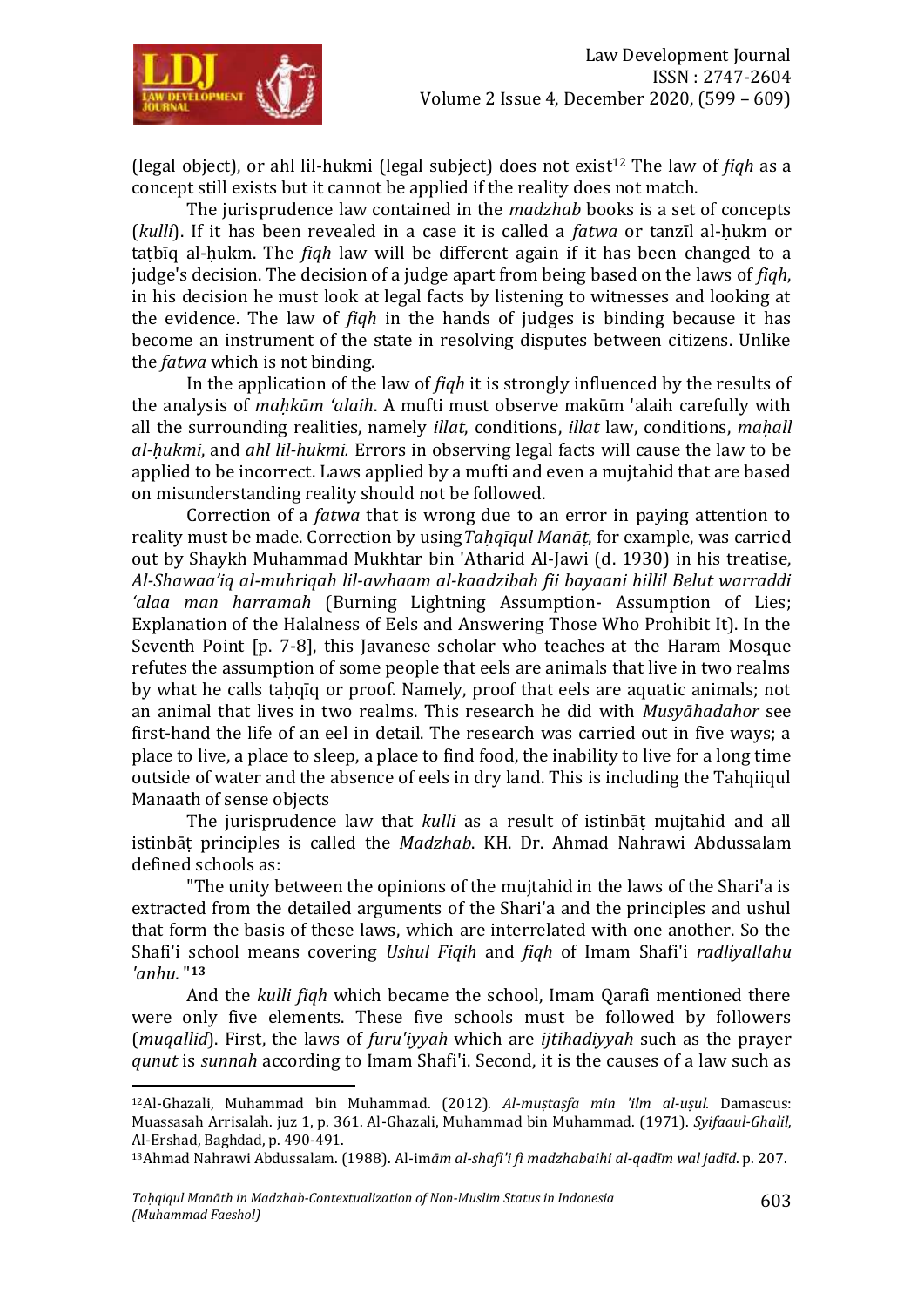

(legal object), or ahl lil-hukmi (legal subject) does not exist<sup>12</sup> The law of *figh* as a concept still exists but it cannot be applied if the reality does not match.

The jurisprudence law contained in the *madzhab* books is a set of concepts (*kulli*). If it has been revealed in a case it is called a *fatwa* or tanzīl al-ḥukm or taṭbīq al-ḥukm. The *fiqh* law will be different again if it has been changed to a judge's decision. The decision of a judge apart from being based on the laws of *fiqh*, in his decision he must look at legal facts by listening to witnesses and looking at the evidence. The law of *fiqh* in the hands of judges is binding because it has become an instrument of the state in resolving disputes between citizens. Unlike the *fatwa* which is not binding.

In the application of the law of *fiqh* it is strongly influenced by the results of the analysis of *maḥkūm 'alaih*. A mufti must observe makūm 'alaih carefully with all the surrounding realities, namely *illat*, conditions, *illat* law, conditions, *maḥall al-ḥukmi*, and *ahl lil-hukmi.* Errors in observing legal facts will cause the law to be applied to be incorrect. Laws applied by a mufti and even a mujtahid that are based on misunderstanding reality should not be followed.

Correction of a *fatwa* that is wrong due to an error in paying attention to reality must be made. Correction by using *Tahqīqul Manāt*, for example, was carried out by Shaykh Muhammad Mukhtar bin 'Atharid Al-Jawi (d. 1930) in his treatise, *Al-Shawaa'iq al-muhriqah lil-awhaam al-kaadzibah fii bayaani hillil Belut warraddi 'alaa man harramah* (Burning Lightning Assumption- Assumption of Lies; Explanation of the Halalness of Eels and Answering Those Who Prohibit It). In the Seventh Point [p. 7-8], this Javanese scholar who teaches at the Haram Mosque refutes the assumption of some people that eels are animals that live in two realms by what he calls tahqīq or proof. Namely, proof that eels are aquatic animals; not an animal that lives in two realms. This research he did with *Musyāhadahor* see first-hand the life of an eel in detail. The research was carried out in five ways; a place to live, a place to sleep, a place to find food, the inability to live for a long time outside of water and the absence of eels in dry land. This is including the Tahqiiqul Manaath of sense objects

The jurisprudence law that *kulli* as a result of istinbāṭ mujtahid and all istinbāṭ principles is called the *Madzhab*. KH. Dr. Ahmad Nahrawi Abdussalam defined schools as:

"The unity between the opinions of the mujtahid in the laws of the Shari'a is extracted from the detailed arguments of the Shari'a and the principles and ushul that form the basis of these laws, which are interrelated with one another. So the Shafi'i school means covering *Ushul Fiqih* and *fiqh* of Imam Shafi'i *radliyallahu 'anhu.* " **13**

And the *kulli fiqh* which became the school, Imam Qarafi mentioned there were only five elements. These five schools must be followed by followers (*muqallid*). First, the laws of *furu'iyyah* which are *ijtihadiyyah* such as the prayer *qunut* is *sunnah* according to Imam Shafi'i. Second, it is the causes of a law such as

<sup>12</sup>Al-Ghazali, Muhammad bin Muhammad. (2012). *Al-muṣtaṣfa min 'ilm al-uṣul.* Damascus: Muassasah Arrisalah. juz 1, p. 361. Al-Ghazali, Muhammad bin Muhammad. (1971). *Syifaaul-Ghalil,* Al-Ershad, Baghdad, p. 490-491.

<sup>13</sup>Ahmad Nahrawi Abdussalam. (1988). Al-im*ām al-shafi'i fi madzhabaihi al-qadīm wal jadīd*. p. 207.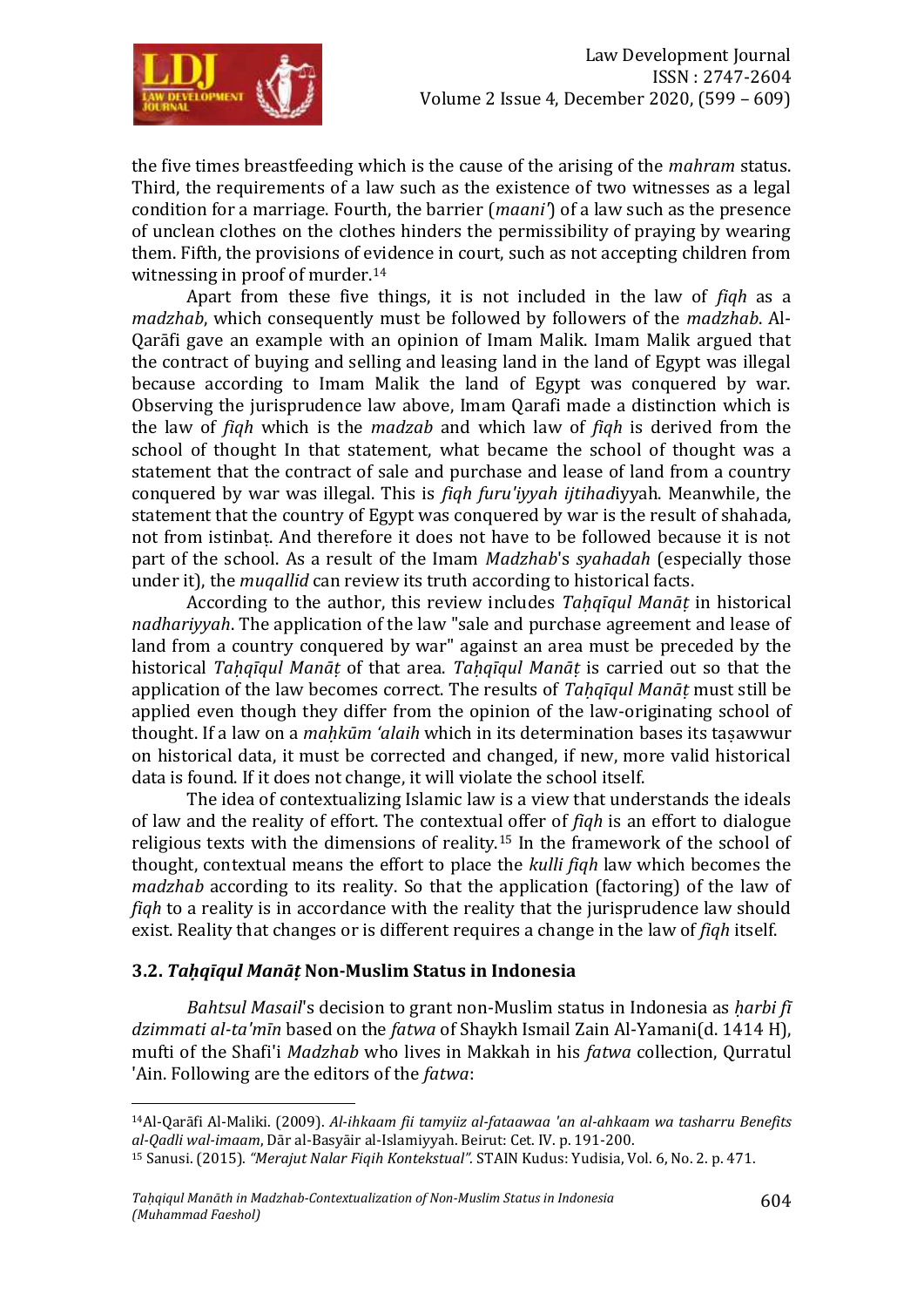

the five times breastfeeding which is the cause of the arising of the *mahram* status. Third, the requirements of a law such as the existence of two witnesses as a legal condition for a marriage. Fourth, the barrier (*maani'*) of a law such as the presence of unclean clothes on the clothes hinders the permissibility of praying by wearing them. Fifth, the provisions of evidence in court, such as not accepting children from witnessing in proof of murder.<sup>14</sup>

Apart from these five things, it is not included in the law of *fiqh* as a *madzhab*, which consequently must be followed by followers of the *madzhab*. Al-Qarāfi gave an example with an opinion of Imam Malik. Imam Malik argued that the contract of buying and selling and leasing land in the land of Egypt was illegal because according to Imam Malik the land of Egypt was conquered by war. Observing the jurisprudence law above, Imam Qarafi made a distinction which is the law of *fiqh* which is the *madzab* and which law of *fiqh* is derived from the school of thought In that statement, what became the school of thought was a statement that the contract of sale and purchase and lease of land from a country conquered by war was illegal. This is *fiqh furu'iyyah ijtihad*iyyah. Meanwhile, the statement that the country of Egypt was conquered by war is the result of shahada, not from istinbaṭ. And therefore it does not have to be followed because it is not part of the school. As a result of the Imam *Madzhab*'s *syahadah* (especially those under it), the *muqallid* can review its truth according to historical facts.

According to the author, this review includes *Taḥqīqul Manāṭ* in historical *nadhariyyah*. The application of the law "sale and purchase agreement and lease of land from a country conquered by war" against an area must be preceded by the historical *Taḥqīqul Manāṭ* of that area. *Taḥqīqul Manāṭ* is carried out so that the application of the law becomes correct. The results of *Taḥqīqul Manāṭ* must still be applied even though they differ from the opinion of the law-originating school of thought. If a law on a *maḥkūm 'alaih* which in its determination bases its taṣawwur on historical data, it must be corrected and changed, if new, more valid historical data is found. If it does not change, it will violate the school itself.

The idea of contextualizing Islamic law is a view that understands the ideals of law and the reality of effort. The contextual offer of *fiqh* is an effort to dialogue religious texts with the dimensions of reality.<sup>15</sup> In the framework of the school of thought, contextual means the effort to place the *kulli fiqh* law which becomes the *madzhab* according to its reality. So that the application (factoring) of the law of *fiqh* to a reality is in accordance with the reality that the jurisprudence law should exist. Reality that changes or is different requires a change in the law of *fiqh* itself.

#### **3.2.** *Taḥqīqul Manāṭ* **Non-Muslim Status in Indonesia**

 $\overline{a}$ 

*Bahtsul Masail*'s decision to grant non-Muslim status in Indonesia as *ḥarbi fī dzimmati al-ta'mīn* based on the *fatwa* of Shaykh Ismail Zain Al-Yamani(d. 1414 H), mufti of the Shafi'i *Madzhab* who lives in Makkah in his *fatwa* collection, Qurratul 'Ain. Following are the editors of the *fatwa*:

<sup>14</sup>Al-Qarāfi Al-Maliki. (2009). *Al-ihkaam fii tamyiiz al-fataawaa 'an al-ahkaam wa tasharru Benefits al-Qadli wal-imaam*, Dār al-Basyāir al-Islamiyyah. Beirut: Cet. IV. p. 191-200.

<sup>15</sup> Sanusi. (2015). *"Merajut Nalar Fiqih Kontekstual".* STAIN Kudus: Yudisia, Vol. 6, No. 2. p. 471.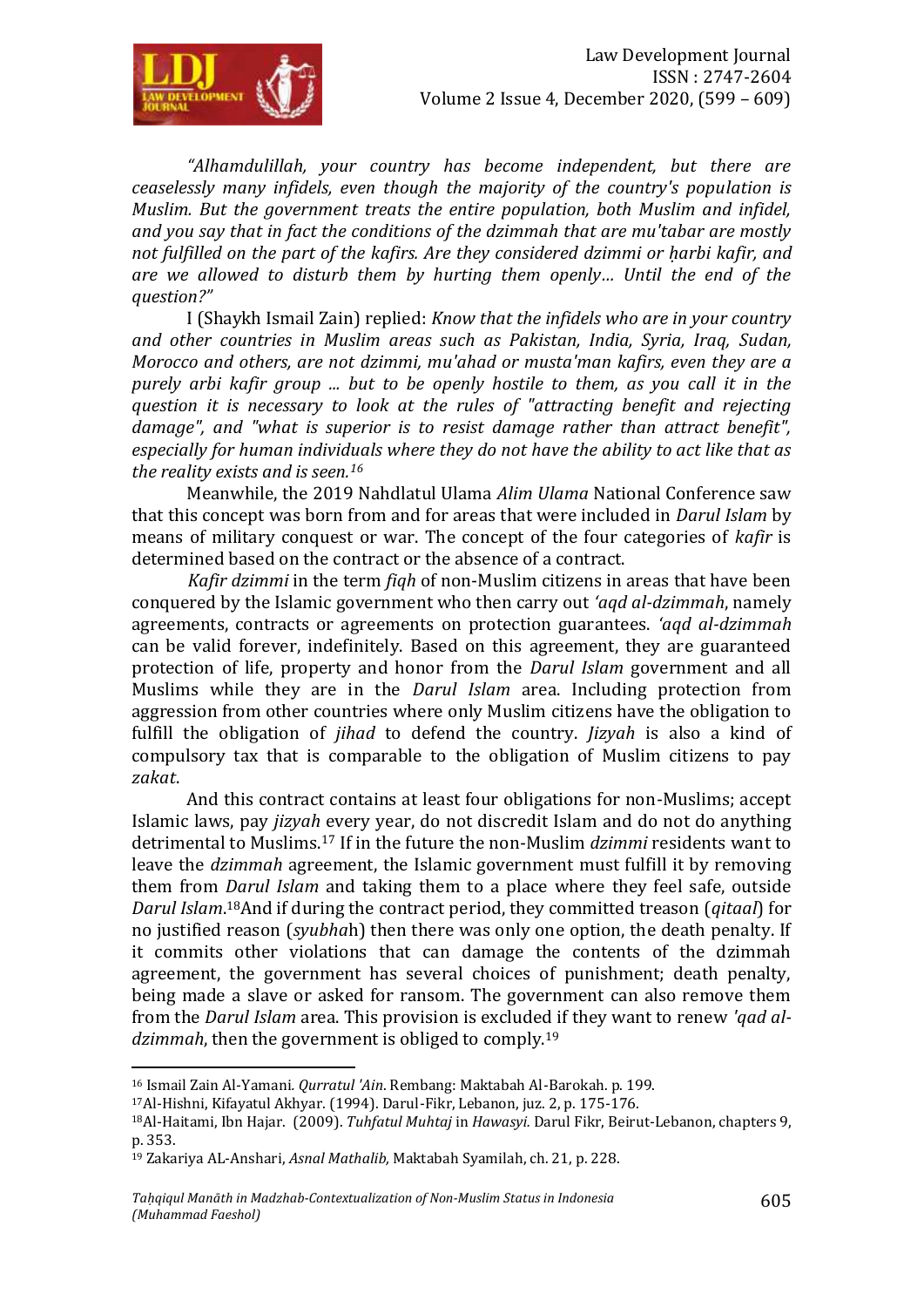

*"Alhamdulillah, your country has become independent, but there are ceaselessly many infidels, even though the majority of the country's population is Muslim. But the government treats the entire population, both Muslim and infidel, and you say that in fact the conditions of the dzimmah that are mu'tabar are mostly not fulfilled on the part of the kafirs. Are they considered dzimmi or ḥarbi kafir, and are we allowed to disturb them by hurting them openly… Until the end of the question?"*

I (Shaykh Ismail Zain) replied: *Know that the infidels who are in your country and other countries in Muslim areas such as Pakistan, India, Syria, Iraq, Sudan, Morocco and others, are not dzimmi, mu'ahad or musta'man kafirs, even they are a purely arbi kafir group ... but to be openly hostile to them, as you call it in the question it is necessary to look at the rules of "attracting benefit and rejecting*  damage", and "what is superior is to resist damage rather than attract benefit", *especially for human individuals where they do not have the ability to act like that as the reality exists and is seen.<sup>16</sup>*

Meanwhile, the 2019 Nahdlatul Ulama *Alim Ulama* National Conference saw that this concept was born from and for areas that were included in *Darul Islam* by means of military conquest or war. The concept of the four categories of *kafir* is determined based on the contract or the absence of a contract.

*Kafir dzimmi* in the term *fiqh* of non-Muslim citizens in areas that have been conquered by the Islamic government who then carry out *'aqd al-dzimmah*, namely agreements, contracts or agreements on protection guarantees. *'aqd al-dzimmah* can be valid forever, indefinitely. Based on this agreement, they are guaranteed protection of life, property and honor from the *Darul Islam* government and all Muslims while they are in the *Darul Islam* area. Including protection from aggression from other countries where only Muslim citizens have the obligation to fulfill the obligation of *jihad* to defend the country. *Jizyah* is also a kind of compulsory tax that is comparable to the obligation of Muslim citizens to pay *zakat*.

And this contract contains at least four obligations for non-Muslims; accept Islamic laws, pay *jizyah* every year, do not discredit Islam and do not do anything detrimental to Muslims.<sup>17</sup> If in the future the non-Muslim *dzimmi* residents want to leave the *dzimmah* agreement, the Islamic government must fulfill it by removing them from *Darul Islam* and taking them to a place where they feel safe, outside *Darul Islam*. <sup>18</sup>And if during the contract period, they committed treason (*qitaal*) for no justified reason (*syubha*h) then there was only one option, the death penalty. If it commits other violations that can damage the contents of the dzimmah agreement, the government has several choices of punishment; death penalty, being made a slave or asked for ransom. The government can also remove them from the *Darul Islam* area. This provision is excluded if they want to renew *'qad aldzimmah*, then the government is obliged to comply.<sup>19</sup>

 $\overline{a}$ <sup>16</sup> Ismail Zain Al-Yamani*. Qurratul 'Ain*. Rembang: Maktabah Al-Barokah. p. 199.

<sup>17</sup>Al-Hishni, Kifayatul Akhyar. (1994). Darul-Fikr, Lebanon, juz. 2, p. 175-176.

<sup>18</sup>Al-Haitami, Ibn Hajar. (2009). *Tuhfatul Muhtaj* in *Hawasyi.* Darul Fikr, Beirut-Lebanon, chapters 9, p. 353.

<sup>19</sup> Zakariya AL-Anshari, *Asnal Mathalib,* Maktabah Syamilah, ch. 21, p. 228.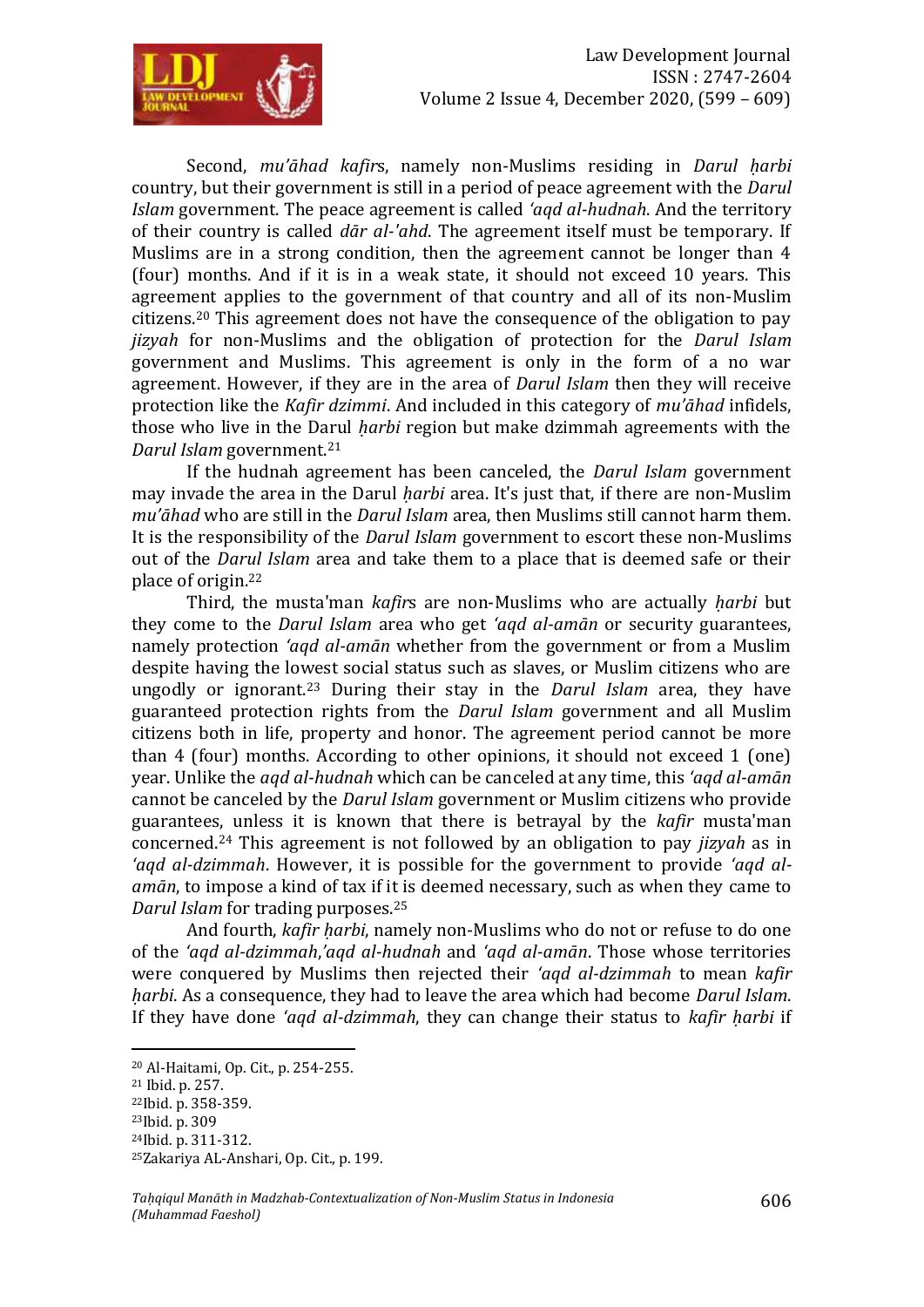

Second, *mu'āhad kafirs*, namely non-Muslims residing in *Darul harbi* country, but their government is still in a period of peace agreement with the *Darul Islam* government. The peace agreement is called *'aqd al-hudnah*. And the territory of their country is called *dār al-'ahd*. The agreement itself must be temporary. If Muslims are in a strong condition, then the agreement cannot be longer than 4 (four) months. And if it is in a weak state, it should not exceed 10 years. This agreement applies to the government of that country and all of its non-Muslim citizens.<sup>20</sup> This agreement does not have the consequence of the obligation to pay *jizyah* for non-Muslims and the obligation of protection for the *Darul Islam* government and Muslims. This agreement is only in the form of a no war agreement. However, if they are in the area of *Darul Islam* then they will receive protection like the *Kafir dzimmi*. And included in this category of *mu'āhad* infidels, those who live in the Darul *ḥarbi* region but make dzimmah agreements with the *Darul Islam* government.<sup>21</sup>

If the hudnah agreement has been canceled, the *Darul Islam* government may invade the area in the Darul *ḥarbi* area. It's just that, if there are non-Muslim *mu'āhad* who are still in the *Darul Islam* area, then Muslims still cannot harm them. It is the responsibility of the *Darul Islam* government to escort these non-Muslims out of the *Darul Islam* area and take them to a place that is deemed safe or their place of origin.<sup>22</sup>

Third, the musta'man *kafir*s are non-Muslims who are actually *ḥarbi* but they come to the *Darul Islam* area who get *'aqd al-amān* or security guarantees, namely protection *'aqd al-amān* whether from the government or from a Muslim despite having the lowest social status such as slaves, or Muslim citizens who are ungodly or ignorant.<sup>23</sup> During their stay in the *Darul Islam* area, they have guaranteed protection rights from the *Darul Islam* government and all Muslim citizens both in life, property and honor. The agreement period cannot be more than 4 (four) months. According to other opinions, it should not exceed 1 (one) year. Unlike the *aqd al-hudnah* which can be canceled at any time, this *'aqd al-amān* cannot be canceled by the *Darul Islam* government or Muslim citizens who provide guarantees, unless it is known that there is betrayal by the *kafir* musta'man concerned.<sup>24</sup> This agreement is not followed by an obligation to pay *jizyah* as in *'aqd al-dzimmah*. However, it is possible for the government to provide *'aqd alamān*, to impose a kind of tax if it is deemed necessary, such as when they came to *Darul Islam* for trading purposes.<sup>25</sup>

And fourth, *kafir ḥarbi*, namely non-Muslims who do not or refuse to do one of the *'aqd al-dzimmah*,*'aqd al-hudnah* and *'aqd al-amān*. Those whose territories were conquered by Muslims then rejected their *'aqd al-dzimmah* to mean *kafir ḥarbi*. As a consequence, they had to leave the area which had become *Darul Islam*. If they have done *'aqd al-dzimmah*, they can change their status to *kafir harbi* if

<sup>20</sup> Al-Haitami, Op. Cit., p. 254-255.

<sup>21</sup> Ibid. p. 257.

<sup>22</sup>Ibid. p. 358-359.

<sup>23</sup>Ibid. p. 309

<sup>24</sup>Ibid. p. 311-312.

<sup>25</sup>Zakariya AL-Anshari, Op. Cit., p. 199.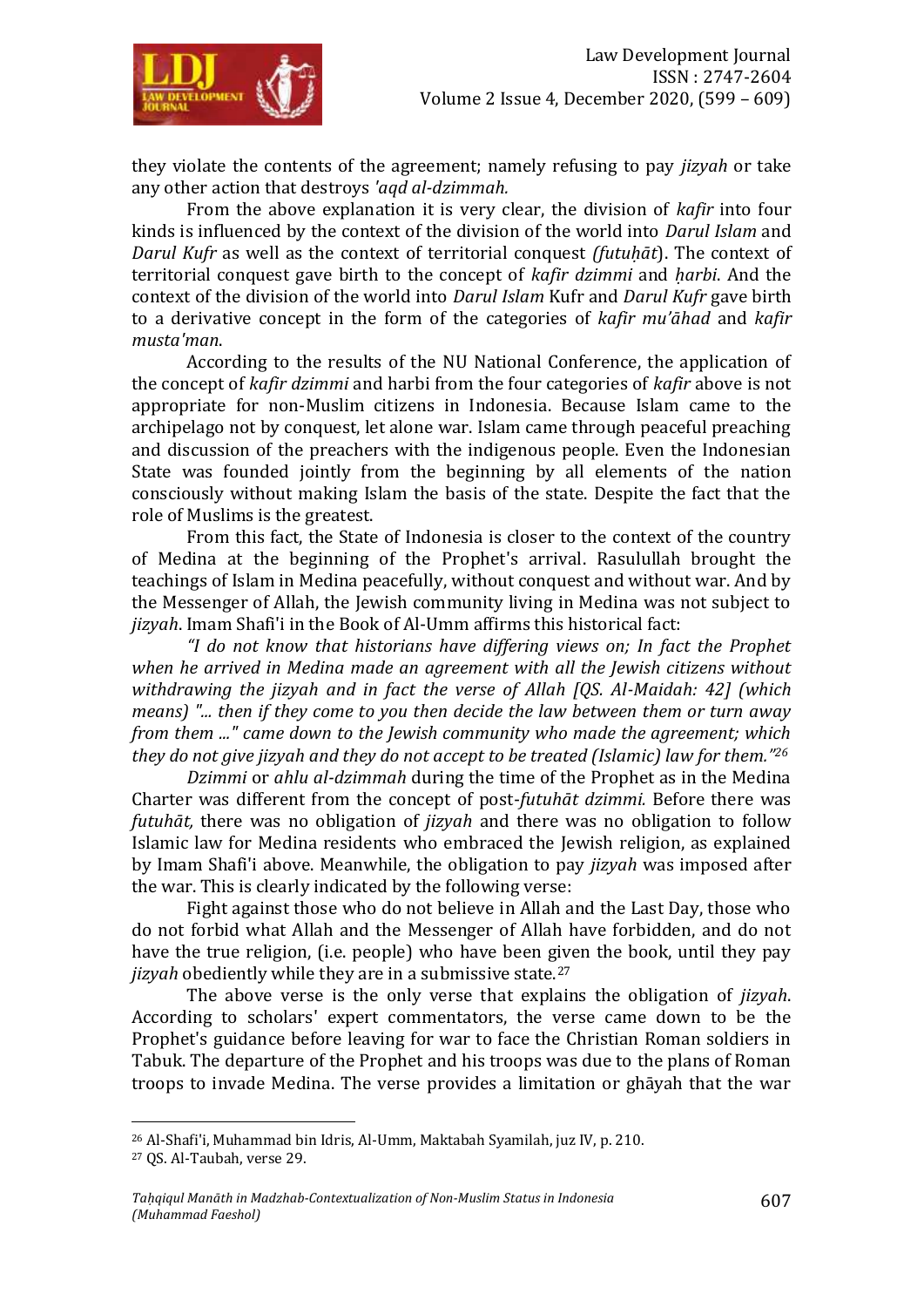

they violate the contents of the agreement; namely refusing to pay *jizyah* or take any other action that destroys *'aqd al-dzimmah.*

From the above explanation it is very clear, the division of *kafir* into four kinds is influenced by the context of the division of the world into *Darul Islam* and *Darul Kufr* as well as the context of territorial conquest *(futuḥāt*). The context of territorial conquest gave birth to the concept of *kafir dzimmi* and *ḥarbi*. And the context of the division of the world into *Darul Islam* Kufr and *Darul Kufr* gave birth to a derivative concept in the form of the categories of *kafir mu'āhad* and *kafir musta'man*.

According to the results of the NU National Conference, the application of the concept of *kafir dzimmi* and harbi from the four categories of *kafir* above is not appropriate for non-Muslim citizens in Indonesia. Because Islam came to the archipelago not by conquest, let alone war. Islam came through peaceful preaching and discussion of the preachers with the indigenous people. Even the Indonesian State was founded jointly from the beginning by all elements of the nation consciously without making Islam the basis of the state. Despite the fact that the role of Muslims is the greatest.

From this fact, the State of Indonesia is closer to the context of the country of Medina at the beginning of the Prophet's arrival. Rasulullah brought the teachings of Islam in Medina peacefully, without conquest and without war. And by the Messenger of Allah, the Jewish community living in Medina was not subject to *jizyah*. Imam Shafi'i in the Book of Al-Umm affirms this historical fact:

*"I do not know that historians have differing views on; In fact the Prophet when he arrived in Medina made an agreement with all the Jewish citizens without withdrawing the jizyah and in fact the verse of Allah [QS. Al-Maidah: 42] (which means) "... then if they come to you then decide the law between them or turn away from them ..." came down to the Jewish community who made the agreement; which they do not give jizyah and they do not accept to be treated (Islamic) law for them." 26*

*Dzimmi* or *ahlu al-dzimmah* during the time of the Prophet as in the Medina Charter was different from the concept of post-*futuhāt dzimmi.* Before there was *futuhāt,* there was no obligation of *jizyah* and there was no obligation to follow Islamic law for Medina residents who embraced the Jewish religion, as explained by Imam Shafi'i above. Meanwhile, the obligation to pay *jizyah* was imposed after the war. This is clearly indicated by the following verse:

Fight against those who do not believe in Allah and the Last Day, those who do not forbid what Allah and the Messenger of Allah have forbidden, and do not have the true religion, (i.e. people) who have been given the book, until they pay *jizyah* obediently while they are in a submissive state.<sup>27</sup>

The above verse is the only verse that explains the obligation of *jizyah*. According to scholars' expert commentators, the verse came down to be the Prophet's guidance before leaving for war to face the Christian Roman soldiers in Tabuk. The departure of the Prophet and his troops was due to the plans of Roman troops to invade Medina. The verse provides a limitation or ghāyah that the war

<sup>26</sup> Al-Shafi'i, Muhammad bin Idris, Al-Umm, Maktabah Syamilah, juz IV, p. 210.

<sup>27</sup> QS. Al-Taubah, verse 29.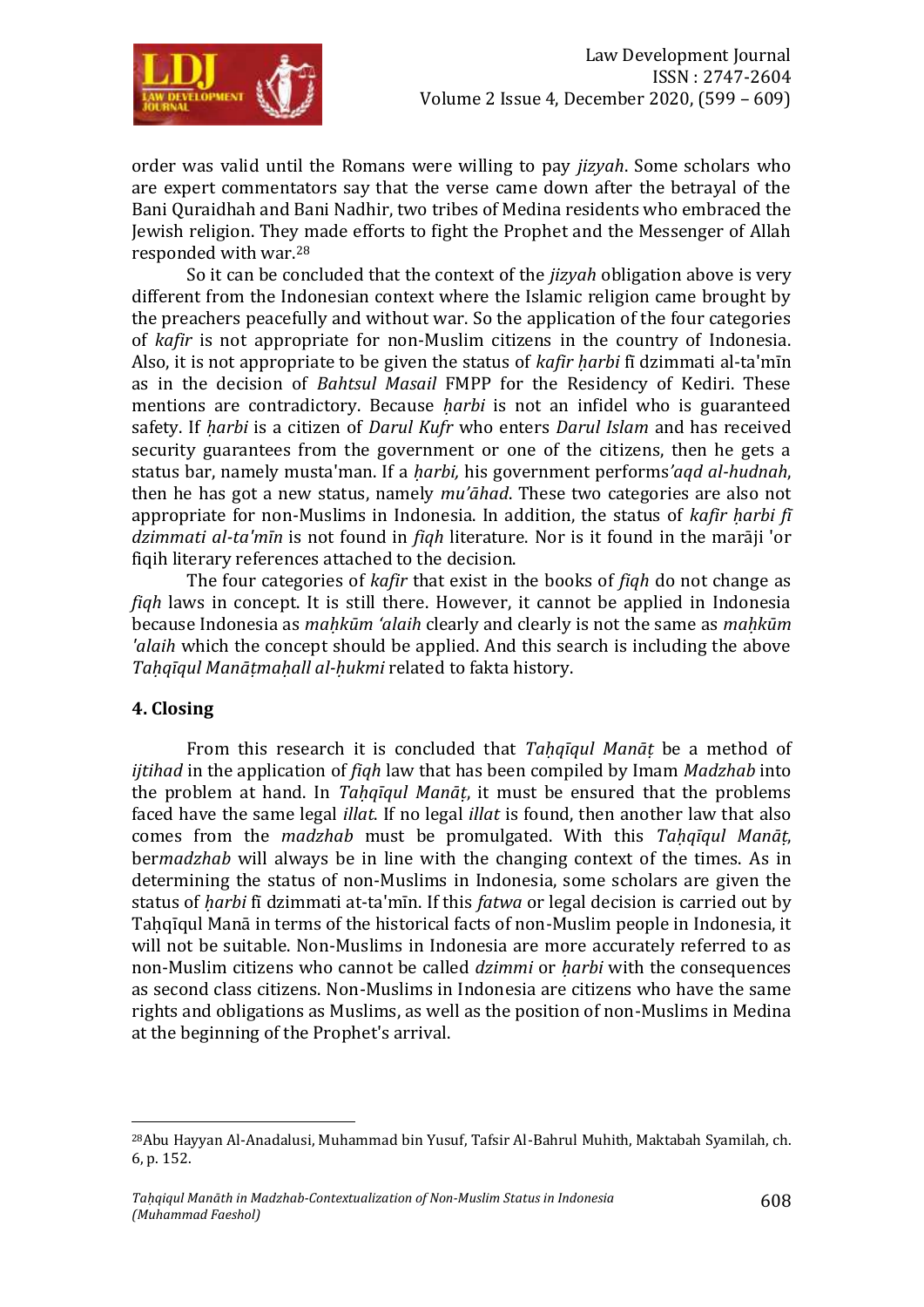

order was valid until the Romans were willing to pay *jizyah*. Some scholars who are expert commentators say that the verse came down after the betrayal of the Bani Quraidhah and Bani Nadhir, two tribes of Medina residents who embraced the Jewish religion. They made efforts to fight the Prophet and the Messenger of Allah responded with war.<sup>28</sup>

So it can be concluded that the context of the *jizyah* obligation above is very different from the Indonesian context where the Islamic religion came brought by the preachers peacefully and without war. So the application of the four categories of *kafir* is not appropriate for non-Muslim citizens in the country of Indonesia. Also, it is not appropriate to be given the status of *kafir harbi* fī dzimmati al-ta'mīn as in the decision of *Bahtsul Masail* FMPP for the Residency of Kediri. These mentions are contradictory. Because *ḥarbi* is not an infidel who is guaranteed safety. If *ḥarbi* is a citizen of *Darul Kufr* who enters *Darul Islam* and has received security guarantees from the government or one of the citizens, then he gets a status bar, namely musta'man. If a *ḥarbi,* his government performs*'aqd al-hudnah*, then he has got a new status, namely *mu'āhad*. These two categories are also not appropriate for non-Muslims in Indonesia. In addition, the status of *kafir ḥarbi fī dzimmati al-ta'mīn* is not found in *fiqh* literature. Nor is it found in the marāji 'or fiqih literary references attached to the decision.

The four categories of *kafir* that exist in the books of *fiqh* do not change as *fiqh* laws in concept. It is still there. However, it cannot be applied in Indonesia because Indonesia as *maḥkūm 'alaih* clearly and clearly is not the same as *maḥkūm 'alaih* which the concept should be applied. And this search is including the above *Taḥqīqul Manāṭmaḥall al-ḥukmi* related to fakta history.

#### **4. Closing**

 $\overline{a}$ 

From this research it is concluded that *Taḥqīqul Manāṭ* be a method of *ijtihad* in the application of *fiqh* law that has been compiled by Imam *Madzhab* into the problem at hand. In *Taḥqīqul Manāṭ*, it must be ensured that the problems faced have the same legal *illat*. If no legal *illat* is found, then another law that also comes from the *madzhab* must be promulgated. With this *Taḥqīqul Manāṭ*, ber*madzhab* will always be in line with the changing context of the times. As in determining the status of non-Muslims in Indonesia, some scholars are given the status of *ḥarbi* fī dzimmati at-ta'mīn. If this *fatwa* or legal decision is carried out by Taḥqīqul Manā in terms of the historical facts of non-Muslim people in Indonesia, it will not be suitable. Non-Muslims in Indonesia are more accurately referred to as non-Muslim citizens who cannot be called *dzimmi* or *ḥarbi* with the consequences as second class citizens. Non-Muslims in Indonesia are citizens who have the same rights and obligations as Muslims, as well as the position of non-Muslims in Medina at the beginning of the Prophet's arrival.

<sup>28</sup>Abu Hayyan Al-Anadalusi, Muhammad bin Yusuf, Tafsir Al-Bahrul Muhith, Maktabah Syamilah, ch. 6, p. 152.